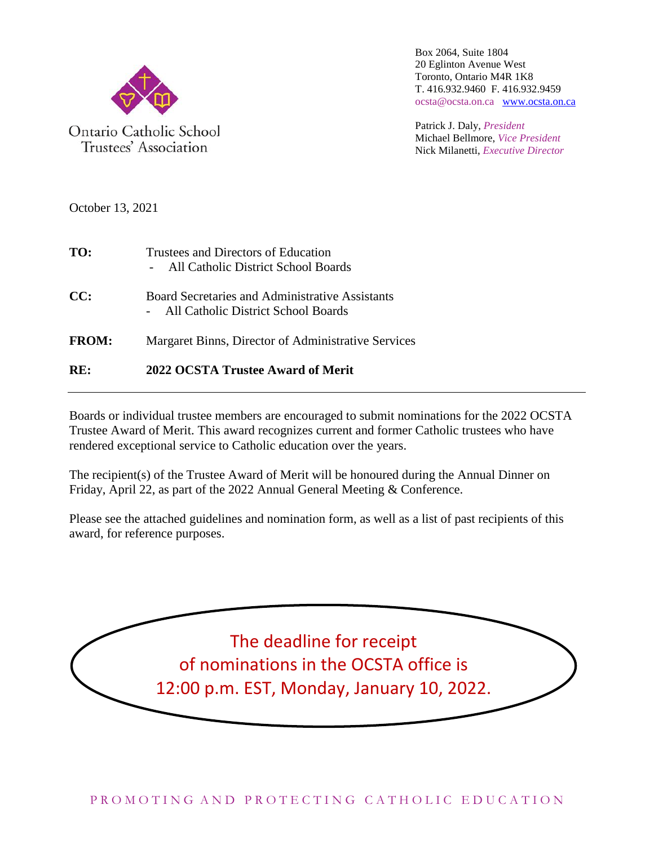

Trustees' Association

Box 2064, Suite 1804 20 Eglinton Avenue West Toronto, Ontario M4R 1K8 T. 416.932.9460 F. 416.932.9459 ocsta@ocsta.on.ca [www.ocsta.on.ca](http://www.ocsta.on.ca/)

Patrick J. Daly, *President* Michael Bellmore, *Vice President* Nick Milanetti, *Executive Director*

October 13, 2021

| TO:          | Trustees and Directors of Education<br>All Catholic District School Boards             |
|--------------|----------------------------------------------------------------------------------------|
| CC:          | Board Secretaries and Administrative Assistants<br>All Catholic District School Boards |
| <b>FROM:</b> | Margaret Binns, Director of Administrative Services                                    |
| RE:          | 2022 OCSTA Trustee Award of Merit                                                      |

Boards or individual trustee members are encouraged to submit nominations for the 2022 OCSTA Trustee Award of Merit. This award recognizes current and former Catholic trustees who have rendered exceptional service to Catholic education over the years.

The recipient(s) of the Trustee Award of Merit will be honoured during the Annual Dinner on Friday, April 22, as part of the 2022 Annual General Meeting & Conference.

Please see the attached guidelines and nomination form, as well as a list of past recipients of this award, for reference purposes.

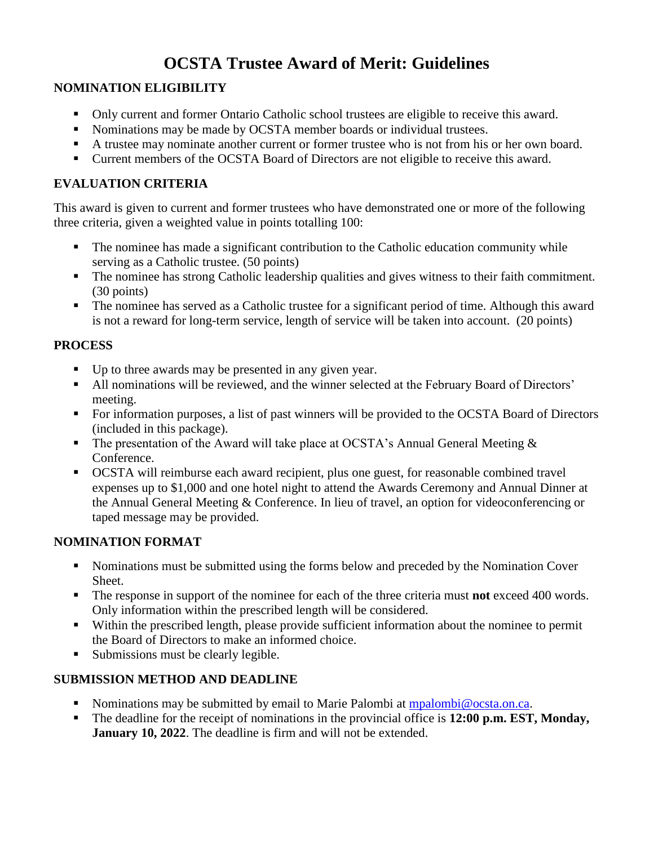## **OCSTA Trustee Award of Merit: Guidelines**

#### **NOMINATION ELIGIBILITY**

- Only current and former Ontario Catholic school trustees are eligible to receive this award.
- Nominations may be made by OCSTA member boards or individual trustees.
- A trustee may nominate another current or former trustee who is not from his or her own board.
- Current members of the OCSTA Board of Directors are not eligible to receive this award.

#### **EVALUATION CRITERIA**

This award is given to current and former trustees who have demonstrated one or more of the following three criteria, given a weighted value in points totalling 100:

- The nominee has made a significant contribution to the Catholic education community while serving as a Catholic trustee. (50 points)
- The nominee has strong Catholic leadership qualities and gives witness to their faith commitment. (30 points)
- The nominee has served as a Catholic trustee for a significant period of time. Although this award is not a reward for long-term service, length of service will be taken into account. (20 points)

#### **PROCESS**

- Up to three awards may be presented in any given year.
- All nominations will be reviewed, and the winner selected at the February Board of Directors' meeting.
- For information purposes, a list of past winners will be provided to the OCSTA Board of Directors (included in this package).
- The presentation of the Award will take place at OCSTA's Annual General Meeting  $\&$ Conference.
- OCSTA will reimburse each award recipient, plus one guest, for reasonable combined travel expenses up to \$1,000 and one hotel night to attend the Awards Ceremony and Annual Dinner at the Annual General Meeting & Conference. In lieu of travel, an option for videoconferencing or taped message may be provided.

#### **NOMINATION FORMAT**

- Nominations must be submitted using the forms below and preceded by the Nomination Cover Sheet.
- The response in support of the nominee for each of the three criteria must **not** exceed 400 words. Only information within the prescribed length will be considered.
- Within the prescribed length, please provide sufficient information about the nominee to permit the Board of Directors to make an informed choice.
- Submissions must be clearly legible.

### **SUBMISSION METHOD AND DEADLINE**

- Nominations may be submitted by email to Marie Palombi at [mpalombi@ocsta.on.ca.](mailto:mpalombi@ocsta.on.ca)
- The deadline for the receipt of nominations in the provincial office is **12:00 p.m. EST, Monday, January 10, 2022**. The deadline is firm and will not be extended.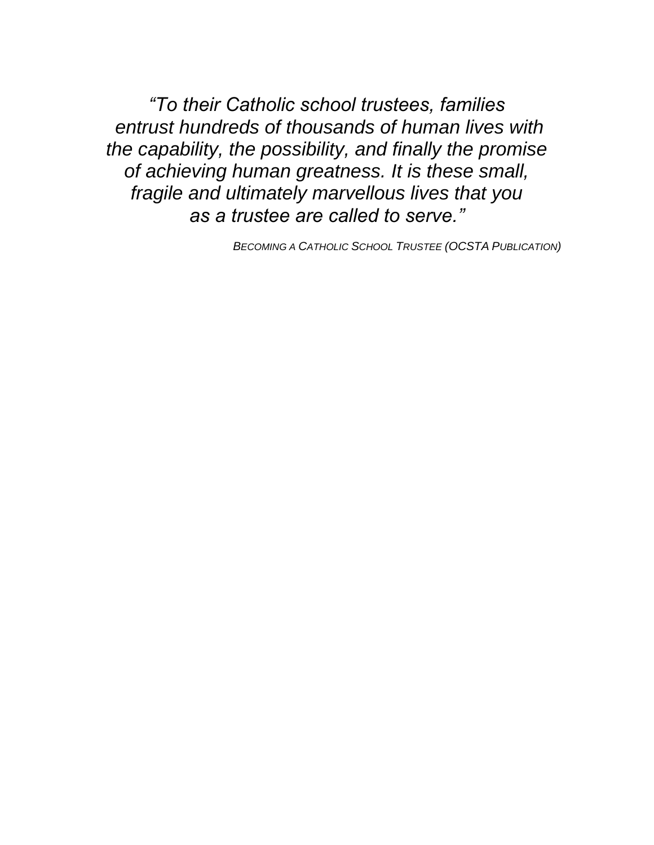*"To their Catholic school trustees, families entrust hundreds of thousands of human lives with the capability, the possibility, and finally the promise of achieving human greatness. It is these small, fragile and ultimately marvellous lives that you as a trustee are called to serve."*

*BECOMING A CATHOLIC SCHOOL TRUSTEE (OCSTA PUBLICATION)*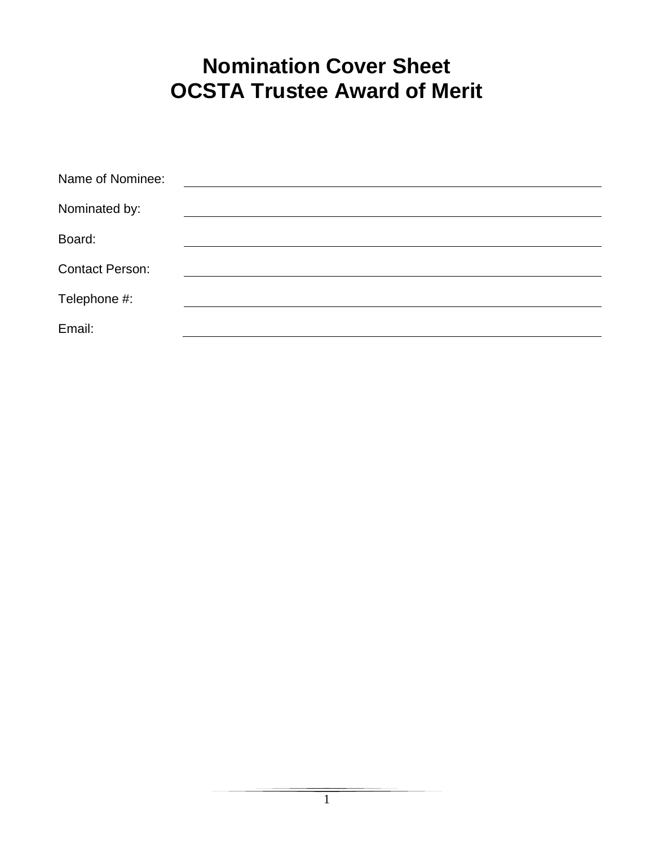# **Nomination Cover Sheet OCSTA Trustee Award of Merit**

| Name of Nominee:       |  |
|------------------------|--|
| Nominated by:          |  |
| Board:                 |  |
| <b>Contact Person:</b> |  |
| Telephone #:           |  |
| Email:                 |  |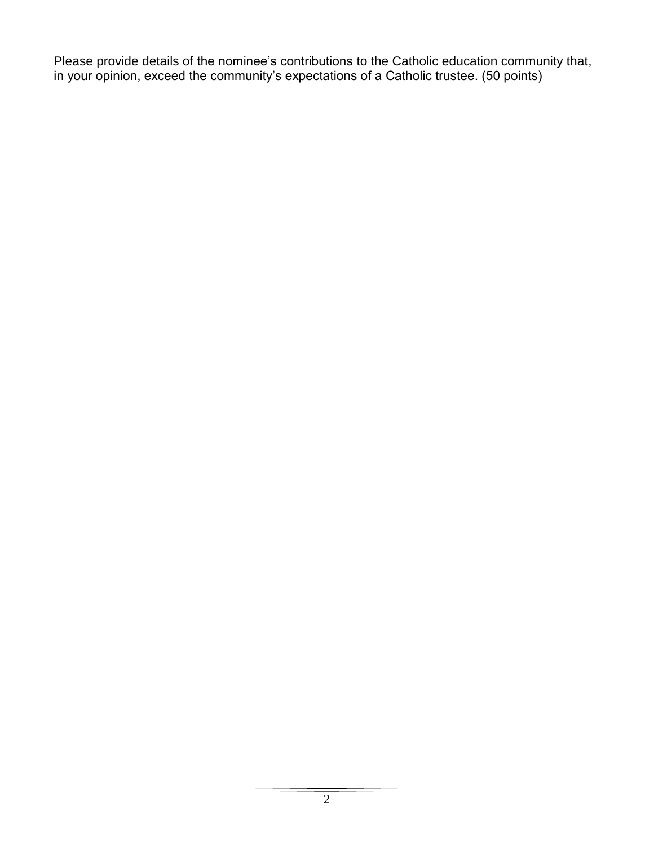Please provide details of the nominee's contributions to the Catholic education community that, in your opinion, exceed the community's expectations of a Catholic trustee. (50 points)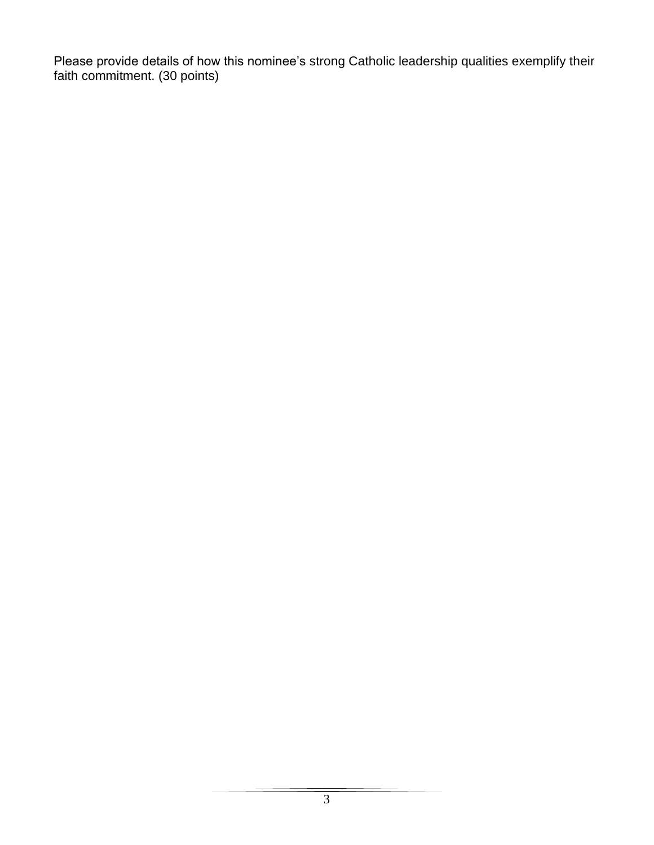Please provide details of how this nominee's strong Catholic leadership qualities exemplify their faith commitment. (30 points)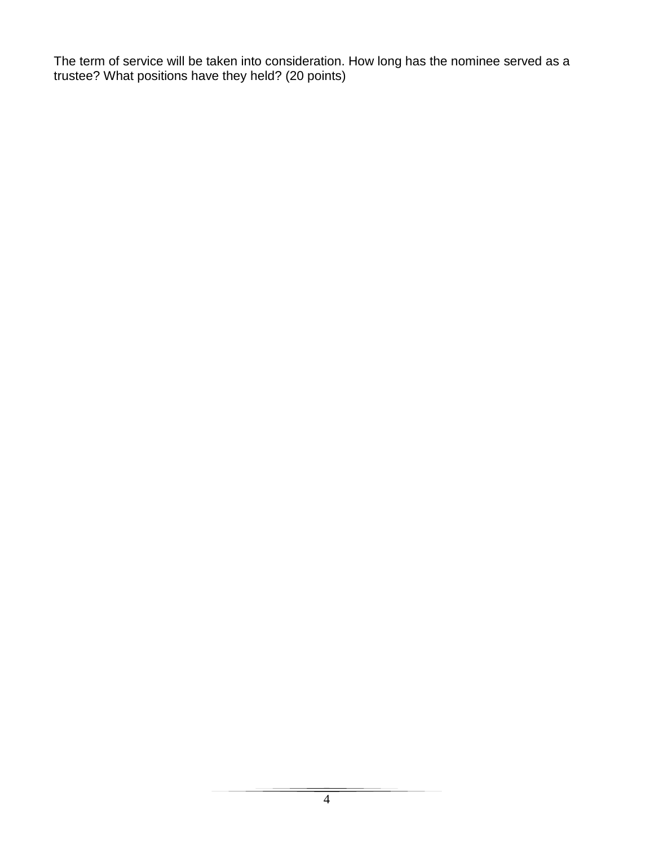The term of service will be taken into consideration. How long has the nominee served as a trustee? What positions have they held? (20 points)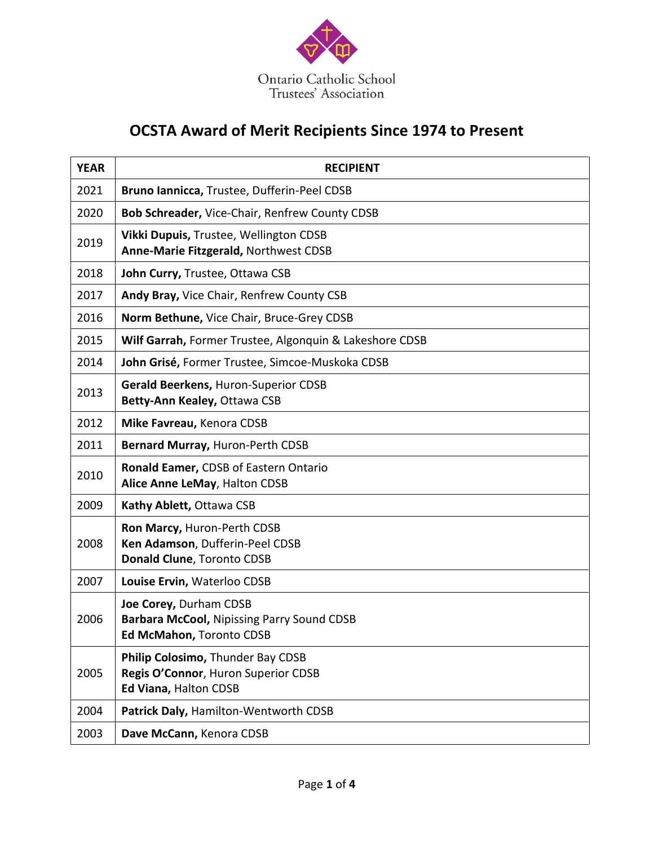

## **OCSTA Award of Merit Recipients Since 1974 to Present**

| <b>YEAR</b> | <b>RECIPIENT</b>                                                                                        |
|-------------|---------------------------------------------------------------------------------------------------------|
| 2021        | Bruno Iannicca, Trustee, Dufferin-Peel CDSB                                                             |
| 2020        | Bob Schreader, Vice-Chair, Renfrew County CDSB                                                          |
| 2019        | Vikki Dupuis, Trustee, Wellington CDSB<br>Anne-Marie Fitzgerald, Northwest CDSB                         |
| 2018        | John Curry, Trustee, Ottawa CSB                                                                         |
| 2017        | Andy Bray, Vice Chair, Renfrew County CSB                                                               |
| 2016        | Norm Bethune, Vice Chair, Bruce-Grey CDSB                                                               |
| 2015        | Wilf Garrah, Former Trustee, Algonquin & Lakeshore CDSB                                                 |
| 2014        | John Grisé, Former Trustee, Simcoe-Muskoka CDSB                                                         |
| 2013        | Gerald Beerkens, Huron-Superior CDSB<br>Betty-Ann Kealey, Ottawa CSB                                    |
| 2012        | Mike Favreau, Kenora CDSB                                                                               |
| 2011        | Bernard Murray, Huron-Perth CDSB                                                                        |
| 2010        | Ronald Eamer, CDSB of Eastern Ontario<br>Alice Anne LeMay, Halton CDSB                                  |
| 2009        | Kathy Ablett, Ottawa CSB                                                                                |
| 2008        | Ron Marcy, Huron-Perth CDSB<br>Ken Adamson, Dufferin-Peel CDSB<br>Donald Clune, Toronto CDSB            |
| 2007        | Louise Ervin, Waterloo CDSB                                                                             |
| 2006        | Joe Corey, Durham CDSB<br><b>Barbara McCool, Nipissing Parry Sound CDSB</b><br>Ed McMahon, Toronto CDSB |
| 2005        | Philip Colosimo, Thunder Bay CDSB<br>Regis O'Connor, Huron Superior CDSB<br>Ed Viana, Halton CDSB       |
| 2004        | Patrick Daly, Hamilton-Wentworth CDSB                                                                   |
| 2003        | Dave McCann, Kenora CDSB                                                                                |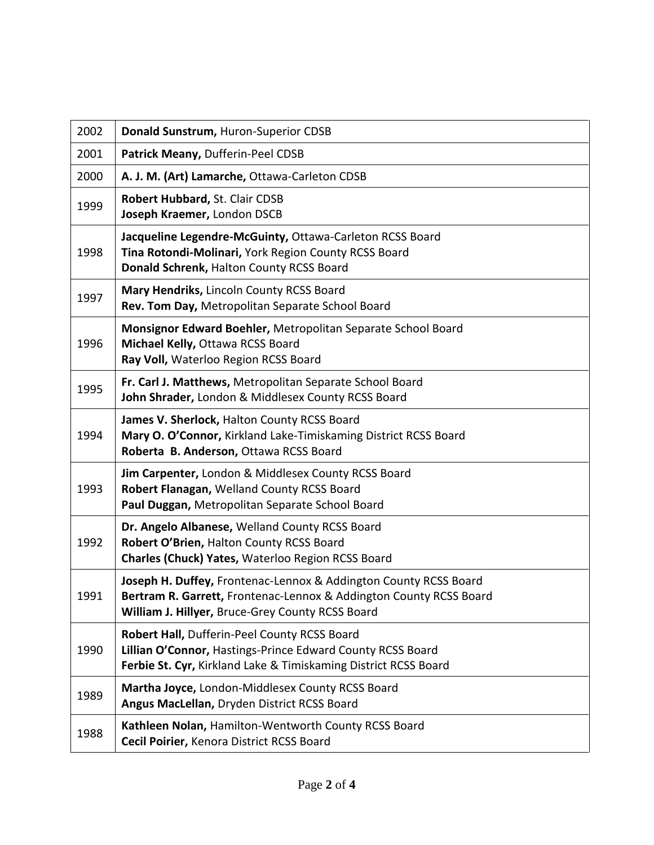| 2002 | Donald Sunstrum, Huron-Superior CDSB                                                                                                                                                       |
|------|--------------------------------------------------------------------------------------------------------------------------------------------------------------------------------------------|
| 2001 | Patrick Meany, Dufferin-Peel CDSB                                                                                                                                                          |
| 2000 | A. J. M. (Art) Lamarche, Ottawa-Carleton CDSB                                                                                                                                              |
| 1999 | Robert Hubbard, St. Clair CDSB<br>Joseph Kraemer, London DSCB                                                                                                                              |
| 1998 | Jacqueline Legendre-McGuinty, Ottawa-Carleton RCSS Board<br>Tina Rotondi-Molinari, York Region County RCSS Board<br>Donald Schrenk, Halton County RCSS Board                               |
| 1997 | Mary Hendriks, Lincoln County RCSS Board<br>Rev. Tom Day, Metropolitan Separate School Board                                                                                               |
| 1996 | Monsignor Edward Boehler, Metropolitan Separate School Board<br>Michael Kelly, Ottawa RCSS Board<br>Ray Voll, Waterloo Region RCSS Board                                                   |
| 1995 | Fr. Carl J. Matthews, Metropolitan Separate School Board<br>John Shrader, London & Middlesex County RCSS Board                                                                             |
| 1994 | James V. Sherlock, Halton County RCSS Board<br>Mary O. O'Connor, Kirkland Lake-Timiskaming District RCSS Board<br>Roberta B. Anderson, Ottawa RCSS Board                                   |
| 1993 | Jim Carpenter, London & Middlesex County RCSS Board<br>Robert Flanagan, Welland County RCSS Board<br>Paul Duggan, Metropolitan Separate School Board                                       |
| 1992 | Dr. Angelo Albanese, Welland County RCSS Board<br>Robert O'Brien, Halton County RCSS Board<br>Charles (Chuck) Yates, Waterloo Region RCSS Board                                            |
| 1991 | Joseph H. Duffey, Frontenac-Lennox & Addington County RCSS Board<br>Bertram R. Garrett, Frontenac-Lennox & Addington County RCSS Board<br>William J. Hillyer, Bruce-Grey County RCSS Board |
| 1990 | Robert Hall, Dufferin-Peel County RCSS Board<br>Lillian O'Connor, Hastings-Prince Edward County RCSS Board<br>Ferbie St. Cyr, Kirkland Lake & Timiskaming District RCSS Board              |
| 1989 | Martha Joyce, London-Middlesex County RCSS Board<br>Angus MacLellan, Dryden District RCSS Board                                                                                            |
| 1988 | Kathleen Nolan, Hamilton-Wentworth County RCSS Board<br>Cecil Poirier, Kenora District RCSS Board                                                                                          |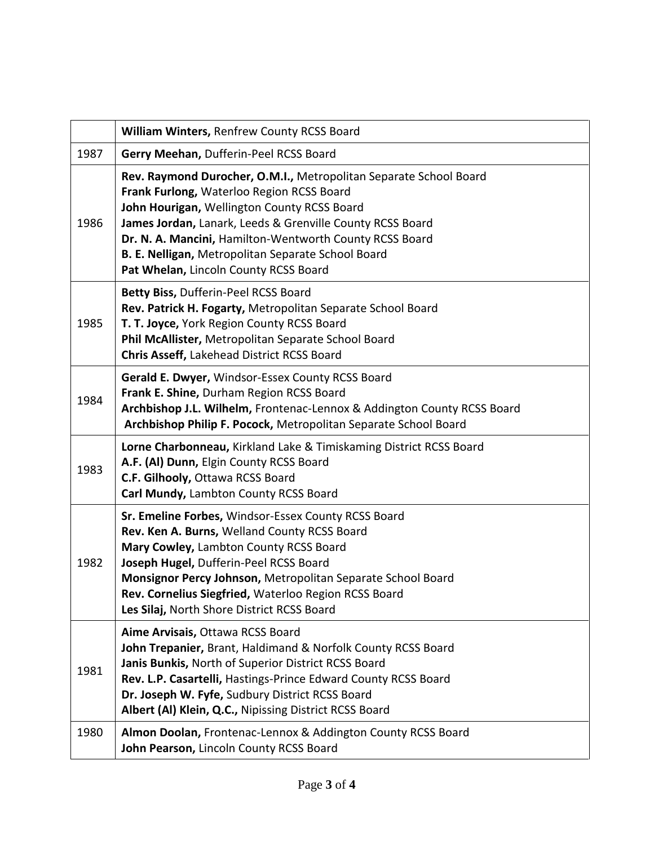|      | William Winters, Renfrew County RCSS Board                                                                                                                                                                                                                                                                                                                                           |
|------|--------------------------------------------------------------------------------------------------------------------------------------------------------------------------------------------------------------------------------------------------------------------------------------------------------------------------------------------------------------------------------------|
| 1987 | Gerry Meehan, Dufferin-Peel RCSS Board                                                                                                                                                                                                                                                                                                                                               |
| 1986 | Rev. Raymond Durocher, O.M.I., Metropolitan Separate School Board<br>Frank Furlong, Waterloo Region RCSS Board<br>John Hourigan, Wellington County RCSS Board<br>James Jordan, Lanark, Leeds & Grenville County RCSS Board<br>Dr. N. A. Mancini, Hamilton-Wentworth County RCSS Board<br>B. E. Nelligan, Metropolitan Separate School Board<br>Pat Whelan, Lincoln County RCSS Board |
| 1985 | Betty Biss, Dufferin-Peel RCSS Board<br>Rev. Patrick H. Fogarty, Metropolitan Separate School Board<br>T. T. Joyce, York Region County RCSS Board<br>Phil McAllister, Metropolitan Separate School Board<br>Chris Asseff, Lakehead District RCSS Board                                                                                                                               |
| 1984 | Gerald E. Dwyer, Windsor-Essex County RCSS Board<br>Frank E. Shine, Durham Region RCSS Board<br>Archbishop J.L. Wilhelm, Frontenac-Lennox & Addington County RCSS Board<br>Archbishop Philip F. Pocock, Metropolitan Separate School Board                                                                                                                                           |
| 1983 | Lorne Charbonneau, Kirkland Lake & Timiskaming District RCSS Board<br>A.F. (Al) Dunn, Elgin County RCSS Board<br>C.F. Gilhooly, Ottawa RCSS Board<br>Carl Mundy, Lambton County RCSS Board                                                                                                                                                                                           |
| 1982 | Sr. Emeline Forbes, Windsor-Essex County RCSS Board<br>Rev. Ken A. Burns, Welland County RCSS Board<br>Mary Cowley, Lambton County RCSS Board<br>Joseph Hugel, Dufferin-Peel RCSS Board<br>Monsignor Percy Johnson, Metropolitan Separate School Board<br>Rev. Cornelius Siegfried, Waterloo Region RCSS Board<br>Les Silaj, North Shore District RCSS Board                         |
| 1981 | Aime Arvisais, Ottawa RCSS Board<br>John Trepanier, Brant, Haldimand & Norfolk County RCSS Board<br>Janis Bunkis, North of Superior District RCSS Board<br>Rev. L.P. Casartelli, Hastings-Prince Edward County RCSS Board<br>Dr. Joseph W. Fyfe, Sudbury District RCSS Board<br>Albert (Al) Klein, Q.C., Nipissing District RCSS Board                                               |
| 1980 | Almon Doolan, Frontenac-Lennox & Addington County RCSS Board<br>John Pearson, Lincoln County RCSS Board                                                                                                                                                                                                                                                                              |